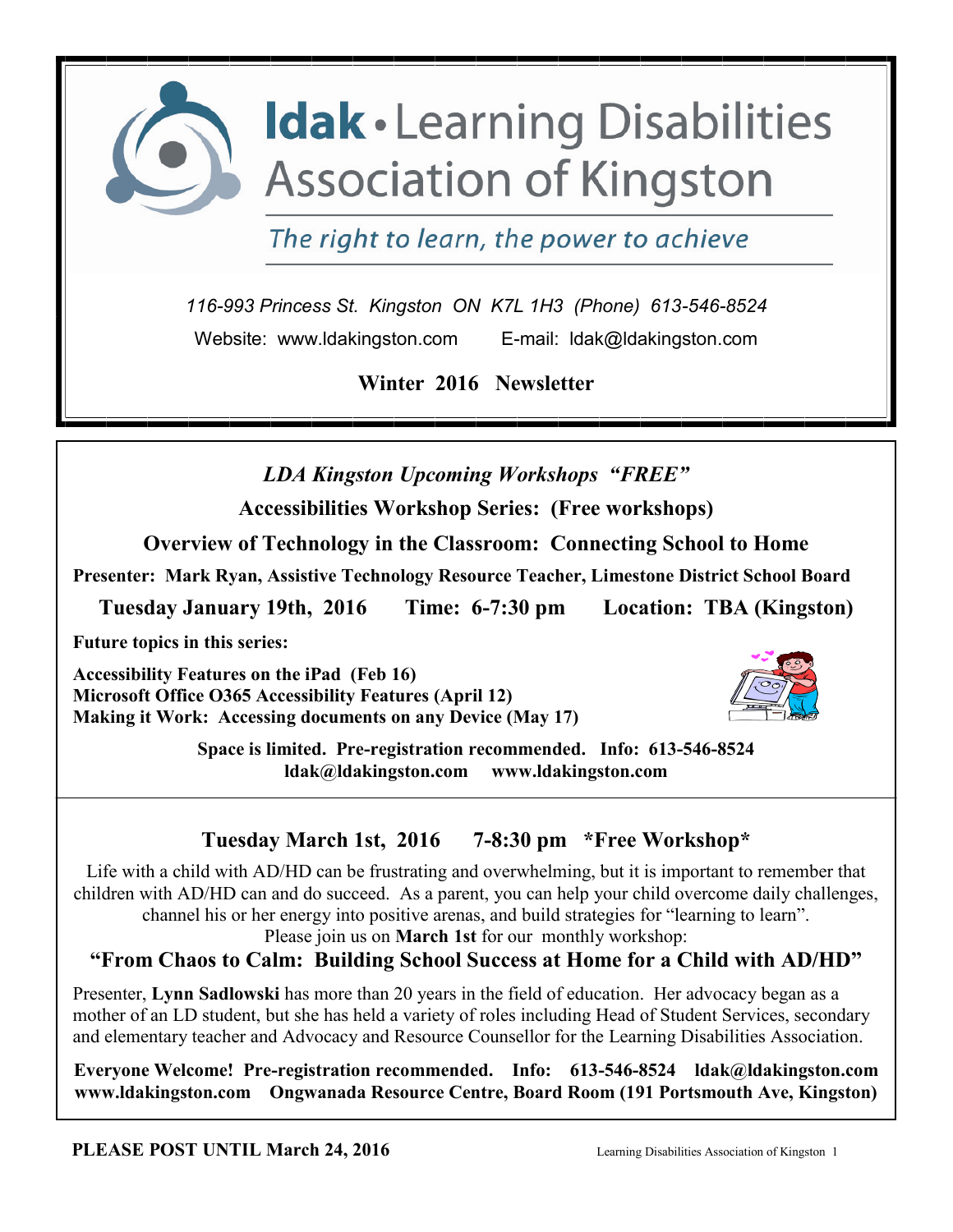# **Idak · Learning Disabilities Association of Kingston**

The right to learn, the power to achieve

*116-993 Princess St. Kingston ON K7L 1H3 (Phone) 613-546-8524*

Website: www.ldakingston.comE-mail: ldak@ldakingston.com

**Winter 2016 Newsletter**

*LDA Kingston Upcoming Workshops "FREE"*

**Accessibilities Workshop Series: (Free workshops)**

**Overview of Technology in the Classroom: Connecting School to Home**

**Presenter: Mark Ryan, Assistive Technology Resource Teacher, Limestone District School Board**

**Tuesday January 19th, 2016 Time: 6-7:30 pm Location: TBA (Kingston)**

**Future topics in this series:**

**Accessibility Features on the iPad (Feb 16) Microsoft Office O365 Accessibility Features (April 12) Making it Work: Accessing documents on any Device (May 17)**



**Space is limited. Pre-registration recommended. Info: 613-546-8524 ldak@ldakingston.com www.ldakingston.com**

### **Tuesday March 1st, 2016 7-8:30 pm \*Free Workshop\***

Life with a child with AD/HD can be frustrating and overwhelming, but it is important to remember that children with AD/HD can and do succeed. As a parent, you can help your child overcome daily challenges, channel his or her energy into positive arenas, and build strategies for "learning to learn".

Please join us on **March 1st** for our monthly workshop:

**"From Chaos to Calm: Building School Success at Home for a Child with AD/HD"**

Presenter, **Lynn Sadlowski** has more than 20 years in the field of education. Her advocacy began as a mother of an LD student, but she has held a variety of roles including Head of Student Services, secondary and elementary teacher and Advocacy and Resource Counsellor for the Learning Disabilities Association.

**Everyone Welcome! Pre-registration recommended. Info: 613-546-8524 ldak@ldakingston.com www.ldakingston.com Ongwanada Resource Centre, Board Room (191 Portsmouth Ave, Kingston)**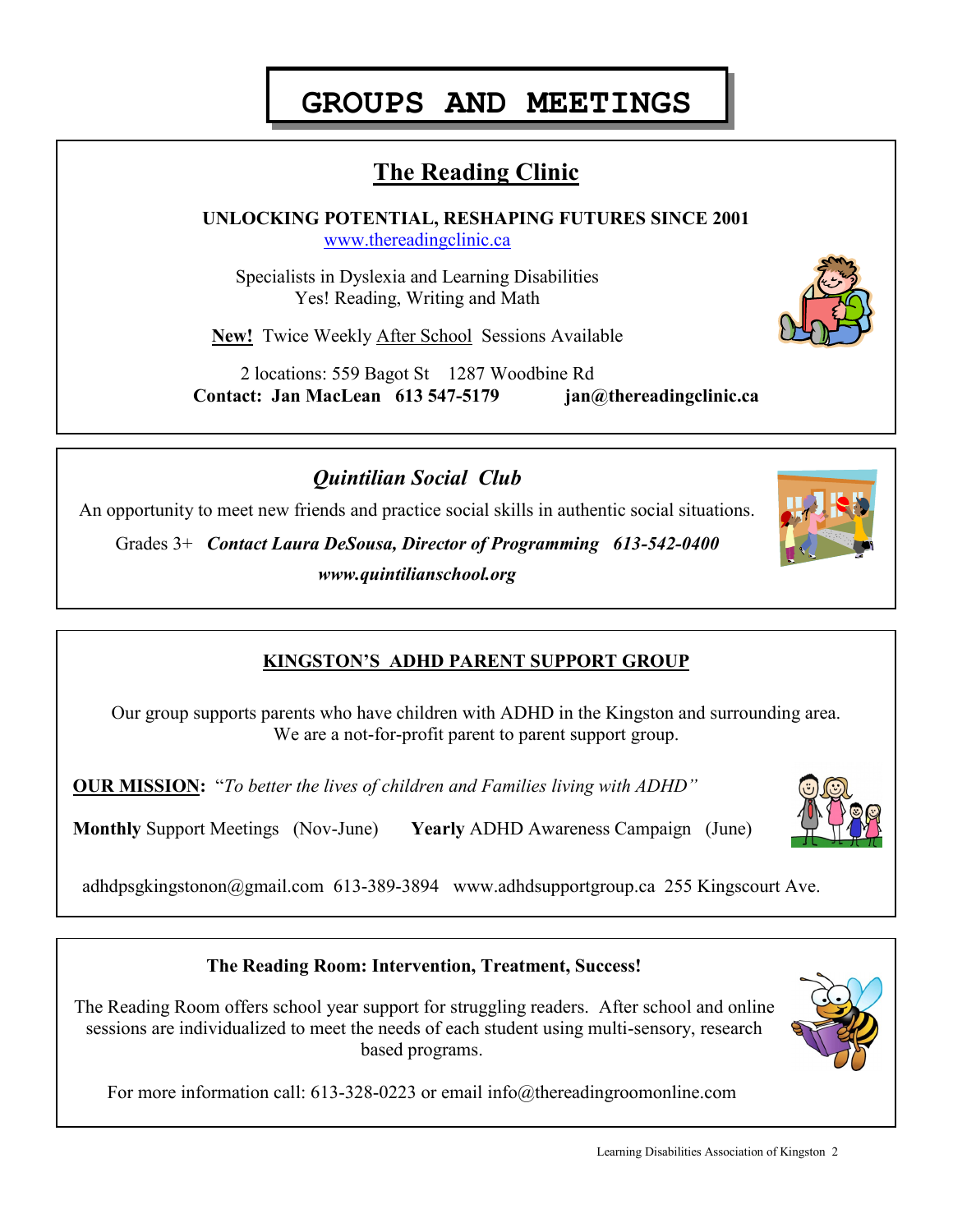### **GROUPS AND MEETINGS**

### **The Reading Clinic**

**UNLOCKING POTENTIAL, RESHAPING FUTURES SINCE 2001** [www.thereadingclinic.ca](http://www.thereadingclinic.ca)

Specialists in Dyslexia and Learning Disabilities Yes! Reading, Writing and Math

**New!** Twice Weekly After School Sessions Available

2 locations: 559 Bagot St 1287 Woodbine Rd **Contact: Jan MacLean 613 547-5179 jan@thereadingclinic.ca**

*Quintilian Social Club* 

An opportunity to meet new friends and practice social skills in authentic social situations.

Grades 3+ *Contact Laura DeSousa, Director of Programming 613-542-0400 www.quintilianschool.org* 

#### **KINGSTON'S ADHD PARENT SUPPORT GROUP**

Our group supports parents who have children with ADHD in the Kingston and surrounding area. We are a not-for-profit parent to parent support group.

**OUR MISSION:** "*To better the lives of children and Families living with ADHD"*

**Monthly** Support Meetings (Nov-June) **Yearly** ADHD Awareness Campaign (June)

adhdpsgkingstonon@gmail.com613-389-3894 www.adhdsupportgroup.ca 255 Kingscourt Ave.

#### **The Reading Room: Intervention, Treatment, Success!**

The Reading Room offers school year support for struggling readers. After school and online sessions are individualized to meet the needs of each student using multi-sensory, research based programs.

For more information call: 613-328-0223 or email info@thereadingroomonline.com







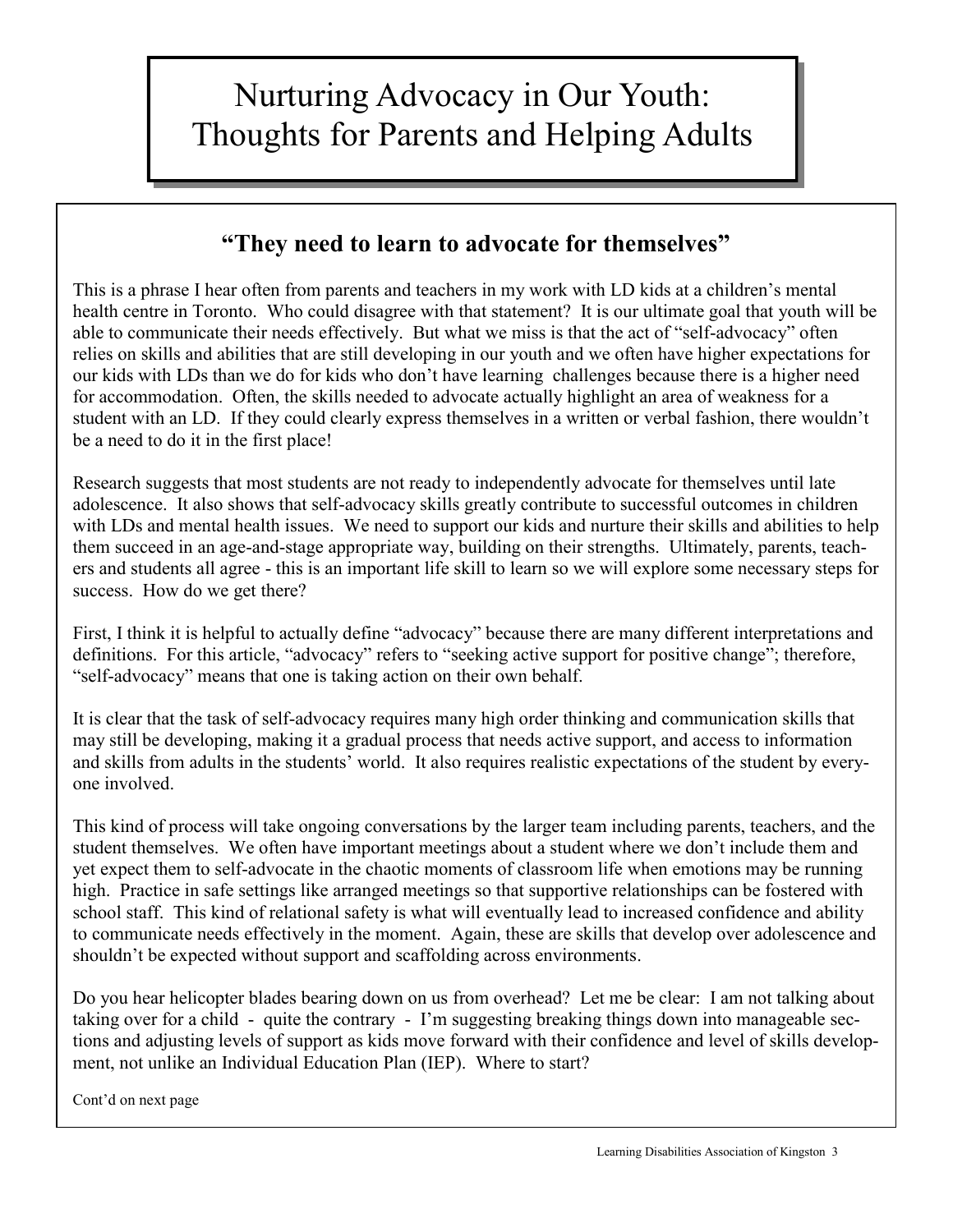# Nurturing Advocacy in Our Youth: Thoughts for Parents and Helping Adults

### **"They need to learn to advocate for themselves"**

This is a phrase I hear often from parents and teachers in my work with LD kids at a children's mental health centre in Toronto. Who could disagree with that statement? It is our ultimate goal that youth will be able to communicate their needs effectively. But what we miss is that the act of "self-advocacy" often relies on skills and abilities that are still developing in our youth and we often have higher expectations for our kids with LDs than we do for kids who don't have learning challenges because there is a higher need for accommodation. Often, the skills needed to advocate actually highlight an area of weakness for a student with an LD. If they could clearly express themselves in a written or verbal fashion, there wouldn't be a need to do it in the first place!

Research suggests that most students are not ready to independently advocate for themselves until late adolescence. It also shows that self-advocacy skills greatly contribute to successful outcomes in children with LDs and mental health issues. We need to support our kids and nurture their skills and abilities to help them succeed in an age-and-stage appropriate way, building on their strengths. Ultimately, parents, teachers and students all agree - this is an important life skill to learn so we will explore some necessary steps for success. How do we get there?

First, I think it is helpful to actually define "advocacy" because there are many different interpretations and definitions. For this article, "advocacy" refers to "seeking active support for positive change"; therefore, "self-advocacy" means that one is taking action on their own behalf.

It is clear that the task of self-advocacy requires many high order thinking and communication skills that may still be developing, making it a gradual process that needs active support, and access to information and skills from adults in the students' world. It also requires realistic expectations of the student by everyone involved.

This kind of process will take ongoing conversations by the larger team including parents, teachers, and the student themselves. We often have important meetings about a student where we don't include them and yet expect them to self-advocate in the chaotic moments of classroom life when emotions may be running high. Practice in safe settings like arranged meetings so that supportive relationships can be fostered with school staff. This kind of relational safety is what will eventually lead to increased confidence and ability to communicate needs effectively in the moment. Again, these are skills that develop over adolescence and shouldn't be expected without support and scaffolding across environments.

Do you hear helicopter blades bearing down on us from overhead? Let me be clear: I am not talking about taking over for a child - quite the contrary - I'm suggesting breaking things down into manageable sections and adjusting levels of support as kids move forward with their confidence and level of skills development, not unlike an Individual Education Plan (IEP). Where to start?

Cont'd on next page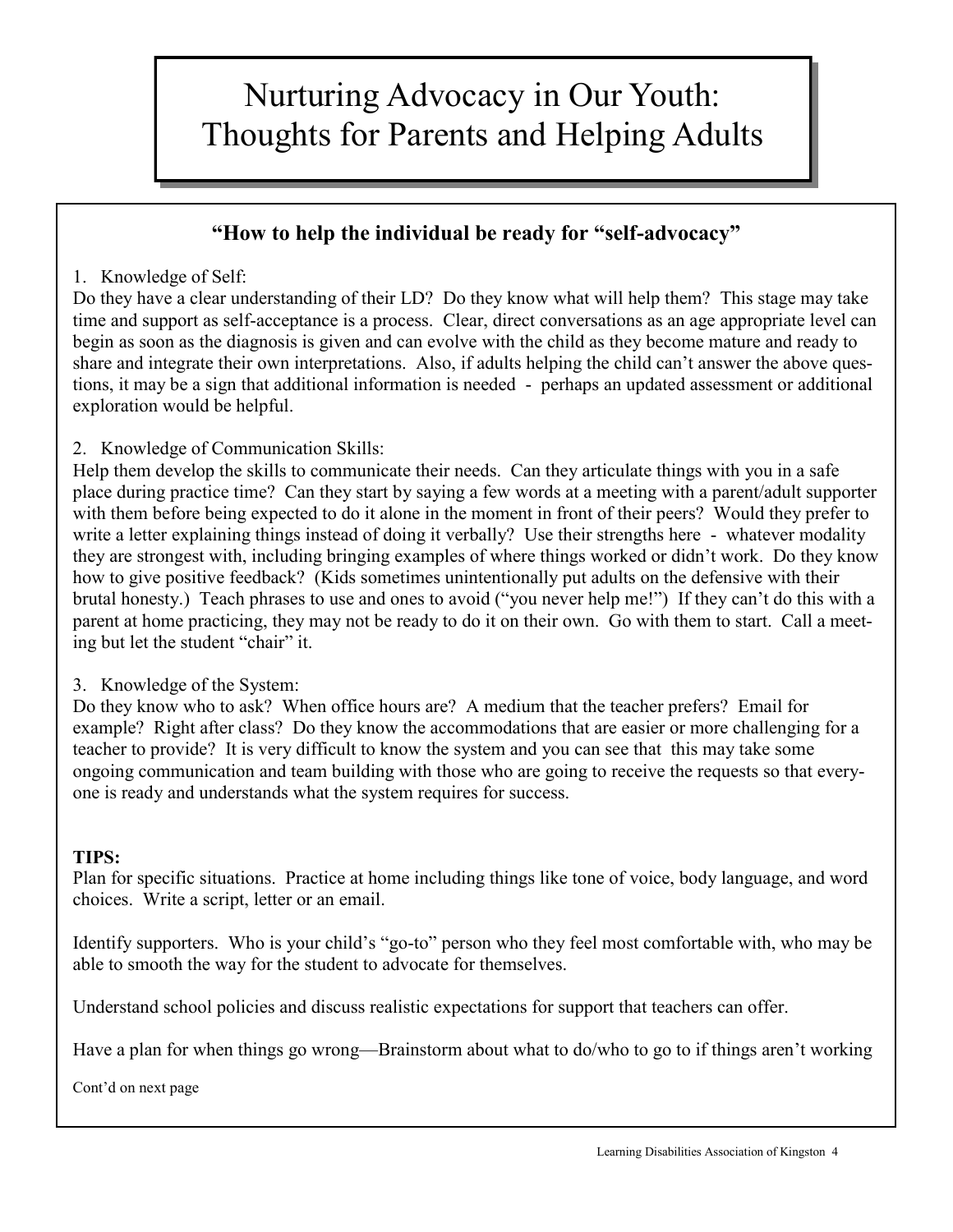# Nurturing Advocacy in Our Youth: Thoughts for Parents and Helping Adults

#### **"How to help the individual be ready for "self-advocacy"**

1. Knowledge of Self:

Do they have a clear understanding of their LD? Do they know what will help them? This stage may take time and support as self-acceptance is a process. Clear, direct conversations as an age appropriate level can begin as soon as the diagnosis is given and can evolve with the child as they become mature and ready to share and integrate their own interpretations. Also, if adults helping the child can't answer the above questions, it may be a sign that additional information is needed - perhaps an updated assessment or additional exploration would be helpful.

#### 2. Knowledge of Communication Skills:

Help them develop the skills to communicate their needs. Can they articulate things with you in a safe place during practice time? Can they start by saying a few words at a meeting with a parent/adult supporter with them before being expected to do it alone in the moment in front of their peers? Would they prefer to write a letter explaining things instead of doing it verbally? Use their strengths here - whatever modality they are strongest with, including bringing examples of where things worked or didn't work. Do they know how to give positive feedback? (Kids sometimes unintentionally put adults on the defensive with their brutal honesty.) Teach phrases to use and ones to avoid ("you never help me!") If they can't do this with a parent at home practicing, they may not be ready to do it on their own. Go with them to start. Call a meeting but let the student "chair" it.

#### 3. Knowledge of the System:

Do they know who to ask? When office hours are? A medium that the teacher prefers? Email for example? Right after class? Do they know the accommodations that are easier or more challenging for a teacher to provide? It is very difficult to know the system and you can see that this may take some ongoing communication and team building with those who are going to receive the requests so that everyone is ready and understands what the system requires for success.

#### **TIPS:**

Plan for specific situations. Practice at home including things like tone of voice, body language, and word choices. Write a script, letter or an email.

Identify supporters. Who is your child's "go-to" person who they feel most comfortable with, who may be able to smooth the way for the student to advocate for themselves.

Understand school policies and discuss realistic expectations for support that teachers can offer.

Have a plan for when things go wrong—Brainstorm about what to do/who to go to if things aren't working

Cont'd on next page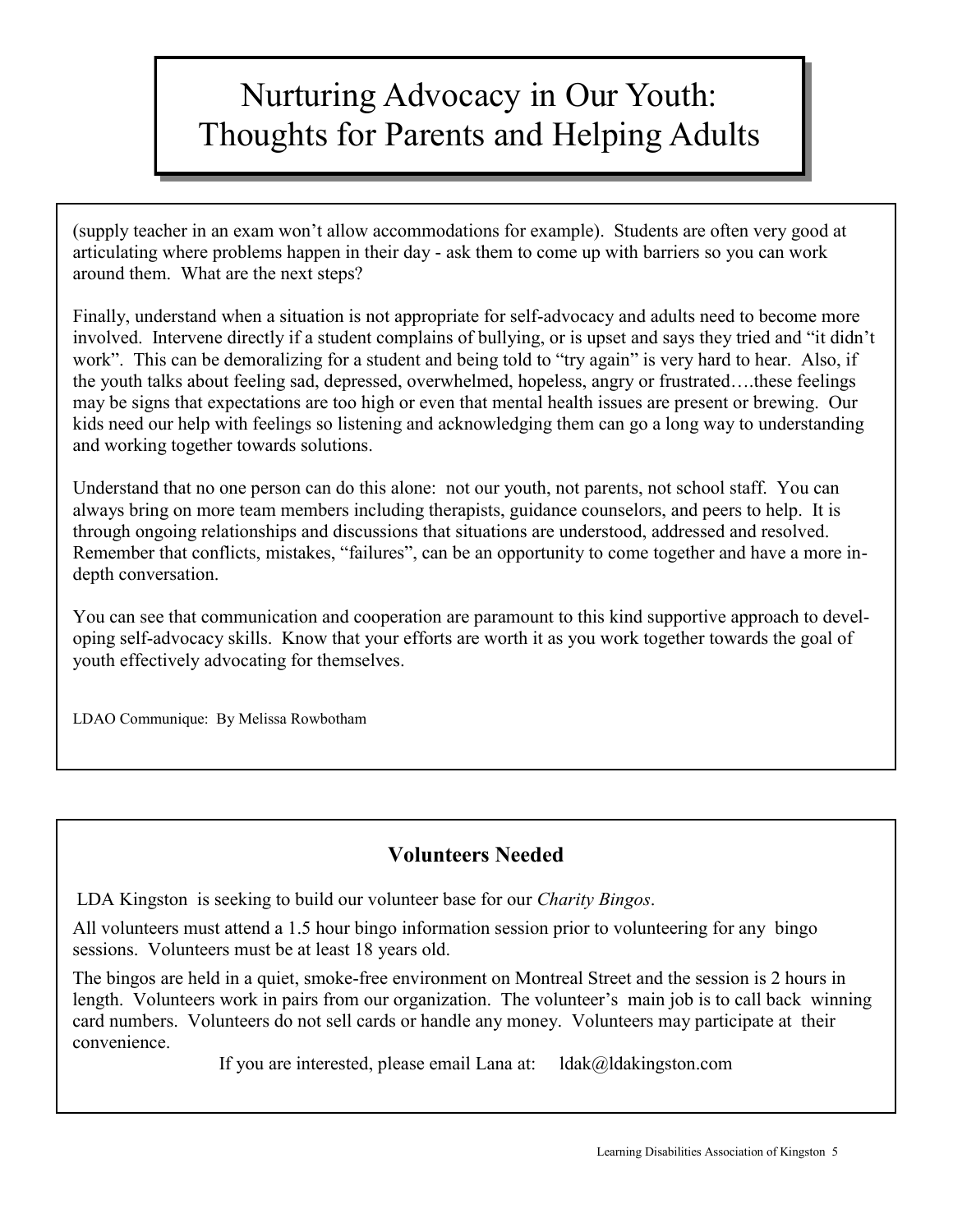# Nurturing Advocacy in Our Youth: Thoughts for Parents and Helping Adults

(supply teacher in an exam won't allow accommodations for example). Students are often very good at articulating where problems happen in their day - ask them to come up with barriers so you can work around them. What are the next steps?

Finally, understand when a situation is not appropriate for self-advocacy and adults need to become more involved. Intervene directly if a student complains of bullying, or is upset and says they tried and "it didn't work". This can be demoralizing for a student and being told to "try again" is very hard to hear. Also, if the youth talks about feeling sad, depressed, overwhelmed, hopeless, angry or frustrated….these feelings may be signs that expectations are too high or even that mental health issues are present or brewing. Our kids need our help with feelings so listening and acknowledging them can go a long way to understanding and working together towards solutions.

Understand that no one person can do this alone: not our youth, not parents, not school staff. You can always bring on more team members including therapists, guidance counselors, and peers to help. It is through ongoing relationships and discussions that situations are understood, addressed and resolved. Remember that conflicts, mistakes, "failures", can be an opportunity to come together and have a more indepth conversation.

You can see that communication and cooperation are paramount to this kind supportive approach to developing self-advocacy skills. Know that your efforts are worth it as you work together towards the goal of youth effectively advocating for themselves.

LDAO Communique: By Melissa Rowbotham

#### **Volunteers Needed**

LDA Kingston is seeking to build our volunteer base for our *Charity Bingos*.

All volunteers must attend a 1.5 hour bingo information session prior to volunteering for any bingo sessions. Volunteers must be at least 18 years old.

The bingos are held in a quiet, smoke-free environment on Montreal Street and the session is 2 hours in length. Volunteers work in pairs from our organization. The volunteer's main job is to call back winning card numbers. Volunteers do not sell cards or handle any money. Volunteers may participate at their convenience.

If you are interested, please email Lana at: ldak@ldakingston.com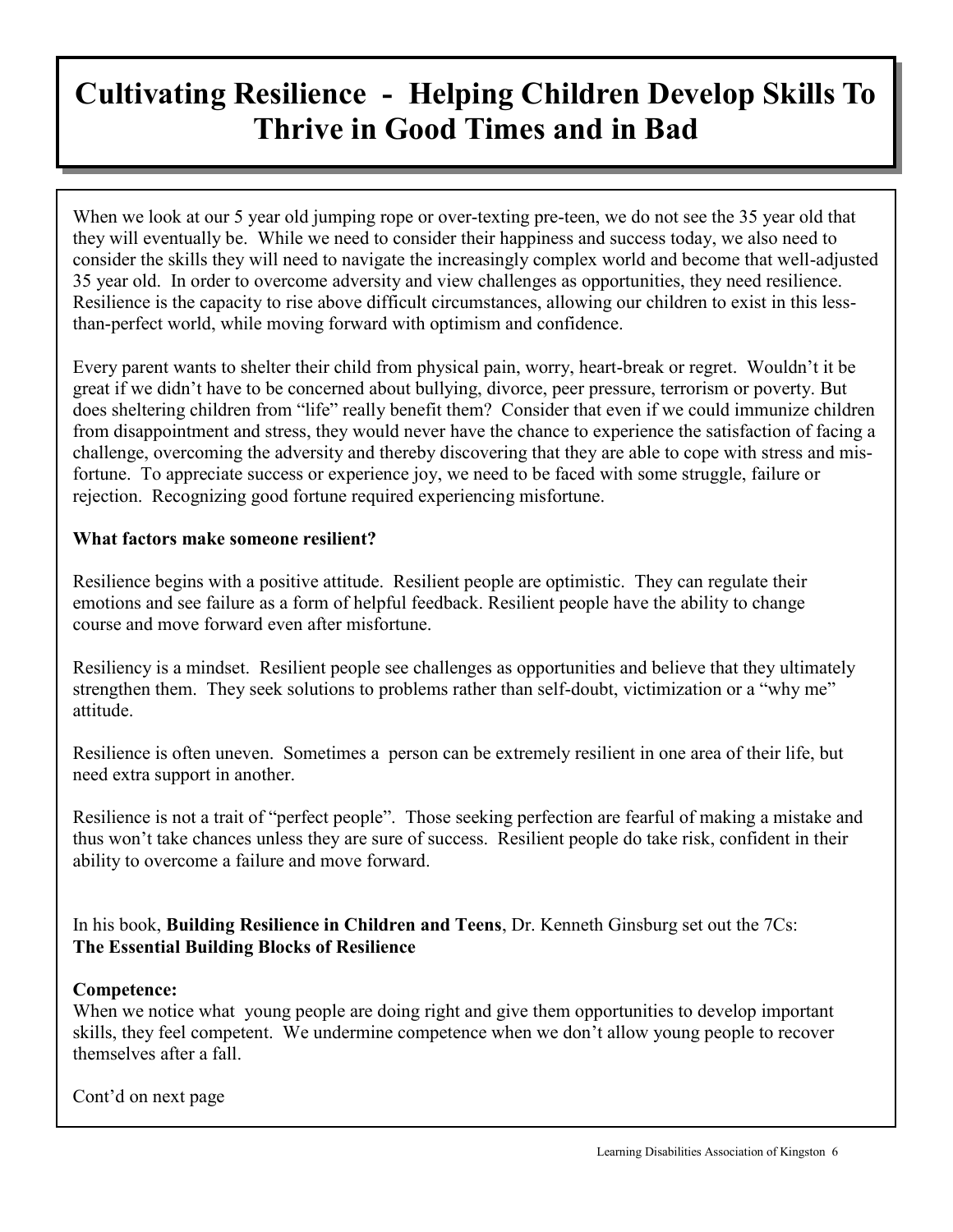## **Cultivating Resilience - Helping Children Develop Skills To Thrive in Good Times and in Bad**

When we look at our 5 year old jumping rope or over-texting pre-teen, we do not see the 35 year old that they will eventually be. While we need to consider their happiness and success today, we also need to consider the skills they will need to navigate the increasingly complex world and become that well-adjusted 35 year old. In order to overcome adversity and view challenges as opportunities, they need resilience. Resilience is the capacity to rise above difficult circumstances, allowing our children to exist in this lessthan-perfect world, while moving forward with optimism and confidence.

Every parent wants to shelter their child from physical pain, worry, heart-break or regret. Wouldn't it be great if we didn't have to be concerned about bullying, divorce, peer pressure, terrorism or poverty. But does sheltering children from "life" really benefit them? Consider that even if we could immunize children from disappointment and stress, they would never have the chance to experience the satisfaction of facing a challenge, overcoming the adversity and thereby discovering that they are able to cope with stress and misfortune. To appreciate success or experience joy, we need to be faced with some struggle, failure or rejection. Recognizing good fortune required experiencing misfortune.

#### **What factors make someone resilient?**

Resilience begins with a positive attitude. Resilient people are optimistic. They can regulate their emotions and see failure as a form of helpful feedback. Resilient people have the ability to change course and move forward even after misfortune.

Resiliency is a mindset. Resilient people see challenges as opportunities and believe that they ultimately strengthen them. They seek solutions to problems rather than self-doubt, victimization or a "why me" attitude.

Resilience is often uneven. Sometimes a person can be extremely resilient in one area of their life, but need extra support in another.

Resilience is not a trait of "perfect people". Those seeking perfection are fearful of making a mistake and thus won't take chances unless they are sure of success. Resilient people do take risk, confident in their ability to overcome a failure and move forward.

In his book, **Building Resilience in Children and Teens**, Dr. Kenneth Ginsburg set out the 7Cs: **The Essential Building Blocks of Resilience**

#### **Competence:**

When we notice what young people are doing right and give them opportunities to develop important skills, they feel competent. We undermine competence when we don't allow young people to recover themselves after a fall.

Cont'd on next page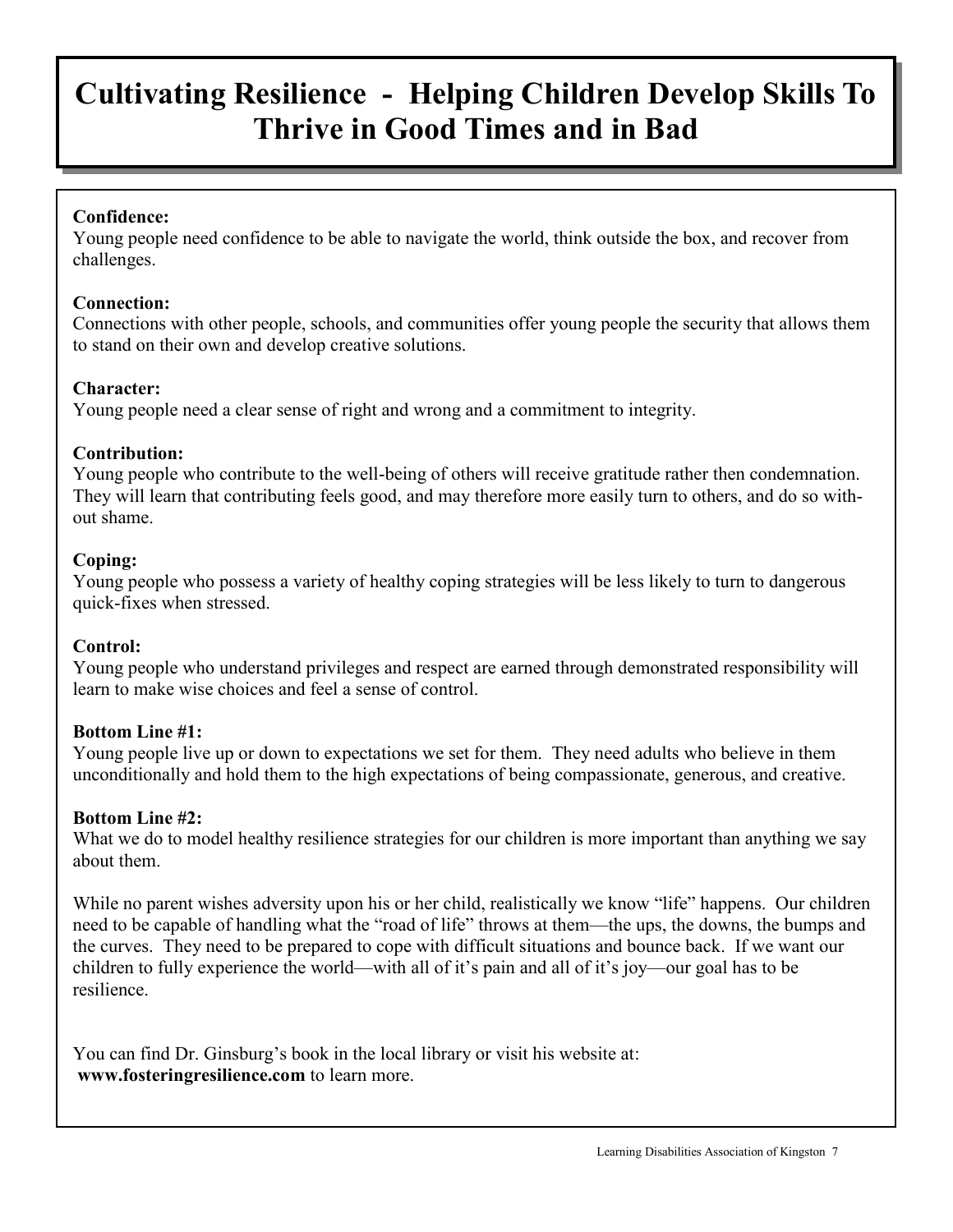## **Cultivating Resilience - Helping Children Develop Skills To Thrive in Good Times and in Bad**

#### **Confidence:**

Young people need confidence to be able to navigate the world, think outside the box, and recover from challenges.

#### **Connection:**

Connections with other people, schools, and communities offer young people the security that allows them to stand on their own and develop creative solutions.

#### **Character:**

Young people need a clear sense of right and wrong and a commitment to integrity.

#### **Contribution:**

Young people who contribute to the well-being of others will receive gratitude rather then condemnation. They will learn that contributing feels good, and may therefore more easily turn to others, and do so without shame.

#### **Coping:**

Young people who possess a variety of healthy coping strategies will be less likely to turn to dangerous quick-fixes when stressed.

#### **Control:**

Young people who understand privileges and respect are earned through demonstrated responsibility will learn to make wise choices and feel a sense of control.

#### **Bottom Line #1:**

Young people live up or down to expectations we set for them. They need adults who believe in them unconditionally and hold them to the high expectations of being compassionate, generous, and creative.

#### **Bottom Line #2:**

What we do to model healthy resilience strategies for our children is more important than anything we say about them.

While no parent wishes adversity upon his or her child, realistically we know "life" happens. Our children need to be capable of handling what the "road of life" throws at them—the ups, the downs, the bumps and the curves. They need to be prepared to cope with difficult situations and bounce back. If we want our children to fully experience the world—with all of it's pain and all of it's joy—our goal has to be resilience.

You can find Dr. Ginsburg's book in the local library or visit his website at: **www.fosteringresilience.com** to learn more.